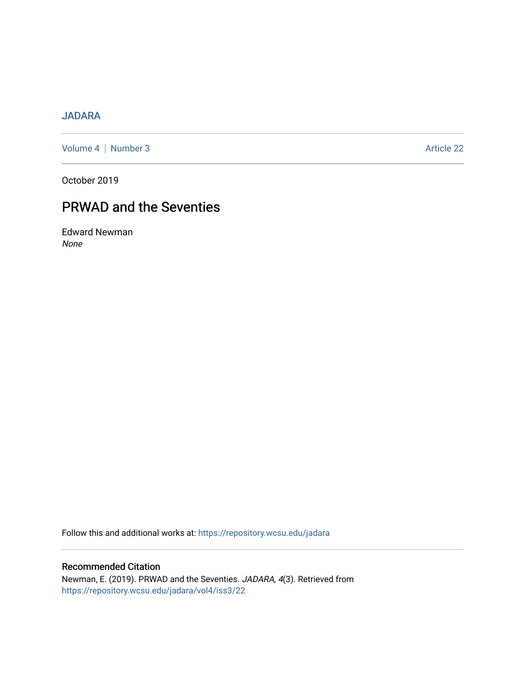## [JADARA](https://repository.wcsu.edu/jadara)

[Volume 4](https://repository.wcsu.edu/jadara/vol4) | [Number 3](https://repository.wcsu.edu/jadara/vol4/iss3) Article 22

October 2019

## PRWAD and the Seventies

Edward Newman None

Follow this and additional works at: [https://repository.wcsu.edu/jadara](https://repository.wcsu.edu/jadara?utm_source=repository.wcsu.edu%2Fjadara%2Fvol4%2Fiss3%2F22&utm_medium=PDF&utm_campaign=PDFCoverPages)

Recommended Citation Newman, E. (2019). PRWAD and the Seventies. JADARA, 4(3). Retrieved from [https://repository.wcsu.edu/jadara/vol4/iss3/22](https://repository.wcsu.edu/jadara/vol4/iss3/22?utm_source=repository.wcsu.edu%2Fjadara%2Fvol4%2Fiss3%2F22&utm_medium=PDF&utm_campaign=PDFCoverPages)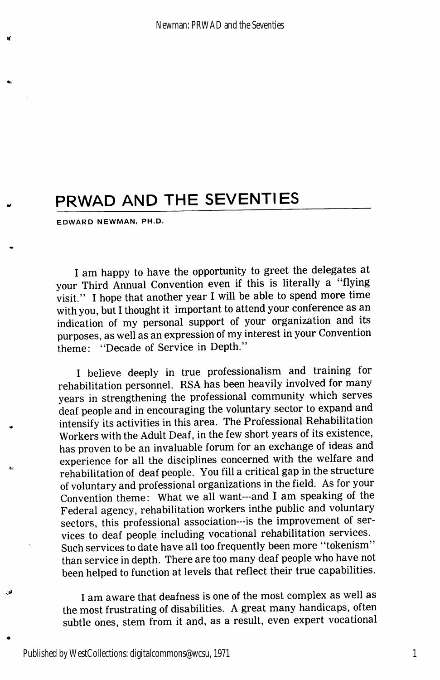## PRWAD AND THE SEVENTIES

EDWARD NEWMAN/ PH.D.

I am happy to have the opportunity to greet the delegates at your Third Annual Convention even if this is literally a "flying visit." I hope that another year I will be able to spend more time with you, but 1 thought it important to attend your conference as an indication of my personal support of your organization and its purposes, as well as an expression of my interest in your Convention theme: "Decade of Service in Depth."

I believe deeply in true professionalism and training for rehabilitation personnel. RSA has been heavily involved for many years in strengthening the professional community which serves deaf people and in encouraging the voluntary sector to expand and intensify its activities in this area. The Professional Rehabilitation Workers with the Adult Deaf, in the few short years of its existence, has proven to be an invaluable forum for an exchange of ideas and experience for all the disciplines concerned with the welfare and rehabilitation of deaf people. You fill a critical gap in the structure of voluntary and professional organizations in the field. As for your Convention theme: What we all want—and 1 am speaking of the Federal agency, rehabilitation workers inthe public and voluntary sectors, this professional association—is the improvement of ser vices to deaf people including vocational rehabilitation services. Such services to date have all too frequently been more "tokenism" than service in depth. There are too many deaf people who have not been helped to function at levels that reflect their true capabilities.

I am aware that deafness is one of the most complex as well as the most frustrating of disabilities. A great many handicaps, often subtle ones, stem from it and, as a result, even expert vocational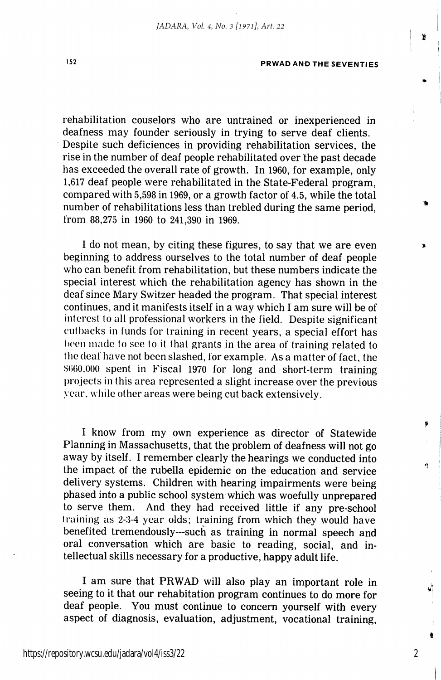ä

rehabilitation couselors who are untrained or inexperienced in deafness may founder seriously in trying to serve deaf clients. Despite such deficiences in providing rehabilitation services, the rise in the number of deaf people rehabilitated over the past decade has exceeded the overall rate of growth. In 1960, for example, only 1,617 deaf people were rehabilitated in the State-Federal program, compared with 5,598 in 1969, or a growth factor of 4.5, while the total number of rehabilitations less than trebled during the same period, from 88,275 in 1960 to 241,390 in 1969.

I do not mean, by citing these figures, to say that we are even beginning to address ourselves to the total number of deaf people who can benefit from rehabilitation, but these numbers indicate the special interest which the rehabilitation agency has shown in the deaf since Mary Switzer headed the program. That special interest continues, and it manifests itself in a way which I am sure will be of interest to all professional workers in the field. Despite significant cutbacks in funds for training in recent years, a special effort has been made to see to it that grants in the area of training related to the deaf have not been slashed, for example. As a matter of fact, the \$660,000 spent in Fiscal 1970 for long and short-term training projects in this area represented a slight increase over the previous year, while other areas were being cut back extensively.

I know from my own experience as director of Statewide Planning in Massachusetts, that the problem of deafness will not go away by itself. I remember clearly the hearings we conducted into the impact of the rubella epidemic on the education and service delivery systems. Children with hearing impairments were being phased into a public school system which was woefully unprepared to serve them. And they had received little if any pre-school training as 2-3-4 year olds; training from which they would have benefited tremendously—such as training in normal speech and oral conversation which are basic to reading, social, and in tellectual skills necessary for a productive, happy adult life.

1 am sure that PRWAD will also play an important role in seeing to it that our rehabitation program continues to do more for deaf people. You must continue to concern yourself with every aspect of diagnosis, evaluation, adjustment, vocational training.

2

ă.

Þ

á